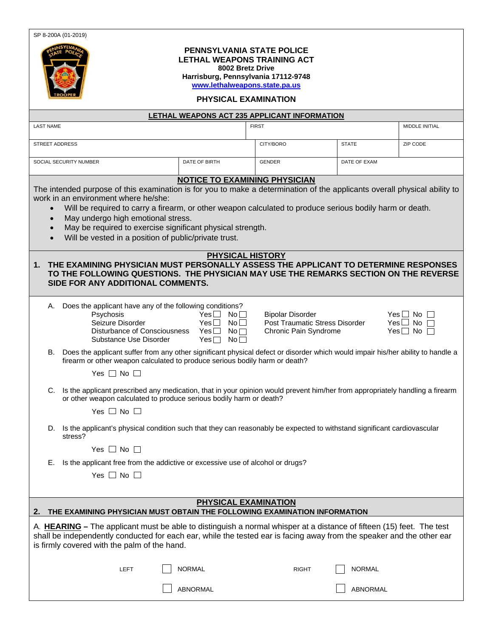SP 8-200A (01-2019)



## **PENNSYLVANIA STATE POLICE LETHAL WEAPONS TRAINING ACT 8002 Bretz Drive**

**Harrisburg, Pennsylvania 17112-9748 [www.lethalweapons.state.pa.us](http://www.lethalweapons.state.pa.us/)**

## **PHYSICAL EXAMINATION**

| LETHAL WEAPONS ACT 235 APPLICANT INFORMATION                                                                                                                                                                                                                                                  |                                                                                                                                                                                                                |                               |                                |               |                      |  |  |  |  |  |
|-----------------------------------------------------------------------------------------------------------------------------------------------------------------------------------------------------------------------------------------------------------------------------------------------|----------------------------------------------------------------------------------------------------------------------------------------------------------------------------------------------------------------|-------------------------------|--------------------------------|---------------|----------------------|--|--|--|--|--|
| <b>LAST NAME</b>                                                                                                                                                                                                                                                                              |                                                                                                                                                                                                                |                               | <b>FIRST</b>                   |               | MIDDLE INITIAL       |  |  |  |  |  |
| STREET ADDRESS                                                                                                                                                                                                                                                                                |                                                                                                                                                                                                                |                               | CITY/BORO                      | <b>STATE</b>  | ZIP CODE             |  |  |  |  |  |
| SOCIAL SECURITY NUMBER<br>DATE OF BIRTH                                                                                                                                                                                                                                                       |                                                                                                                                                                                                                |                               | <b>GENDER</b>                  | DATE OF EXAM  |                      |  |  |  |  |  |
|                                                                                                                                                                                                                                                                                               |                                                                                                                                                                                                                |                               |                                |               |                      |  |  |  |  |  |
| <b>NOTICE TO EXAMINING PHYSICIAN</b><br>The intended purpose of this examination is for you to make a determination of the applicants overall physical ability to<br>work in an environment where he/she:                                                                                     |                                                                                                                                                                                                                |                               |                                |               |                      |  |  |  |  |  |
| Will be required to carry a firearm, or other weapon calculated to produce serious bodily harm or death.<br>$\bullet$                                                                                                                                                                         |                                                                                                                                                                                                                |                               |                                |               |                      |  |  |  |  |  |
|                                                                                                                                                                                                                                                                                               | May undergo high emotional stress.<br>$\bullet$                                                                                                                                                                |                               |                                |               |                      |  |  |  |  |  |
|                                                                                                                                                                                                                                                                                               | May be required to exercise significant physical strength.<br>$\bullet$<br>Will be vested in a position of public/private trust.                                                                               |                               |                                |               |                      |  |  |  |  |  |
|                                                                                                                                                                                                                                                                                               |                                                                                                                                                                                                                |                               |                                |               |                      |  |  |  |  |  |
| <b>PHYSICAL HISTORY</b><br>THE EXAMINING PHYSICIAN MUST PERSONALLY ASSESS THE APPLICANT TO DETERMINE RESPONSES<br>1.                                                                                                                                                                          |                                                                                                                                                                                                                |                               |                                |               |                      |  |  |  |  |  |
| TO THE FOLLOWING QUESTIONS. THE PHYSICIAN MAY USE THE REMARKS SECTION ON THE REVERSE                                                                                                                                                                                                          |                                                                                                                                                                                                                |                               |                                |               |                      |  |  |  |  |  |
| SIDE FOR ANY ADDITIONAL COMMENTS.                                                                                                                                                                                                                                                             |                                                                                                                                                                                                                |                               |                                |               |                      |  |  |  |  |  |
| А.                                                                                                                                                                                                                                                                                            | Does the applicant have any of the following conditions?                                                                                                                                                       |                               |                                |               |                      |  |  |  |  |  |
|                                                                                                                                                                                                                                                                                               | Psychosis                                                                                                                                                                                                      | Yes $\Box$ No $\Box$          | <b>Bipolar Disorder</b>        |               | Yes $\Box$ No $\Box$ |  |  |  |  |  |
|                                                                                                                                                                                                                                                                                               | Seizure Disorder                                                                                                                                                                                               | Yes<br>No <sub>1</sub>        | Post Traumatic Stress Disorder |               | Yes $\Box$ No $\Box$ |  |  |  |  |  |
|                                                                                                                                                                                                                                                                                               | Disturbance of Consciousness                                                                                                                                                                                   | $Yes \Box$<br>No              | Chronic Pain Syndrome          |               | Yes $\Box$ No $\Box$ |  |  |  |  |  |
|                                                                                                                                                                                                                                                                                               | Substance Use Disorder                                                                                                                                                                                         | $Yes \Box$<br>No <sub>1</sub> |                                |               |                      |  |  |  |  |  |
| В.                                                                                                                                                                                                                                                                                            | Does the applicant suffer from any other significant physical defect or disorder which would impair his/her ability to handle a<br>firearm or other weapon calculated to produce serious bodily harm or death? |                               |                                |               |                      |  |  |  |  |  |
|                                                                                                                                                                                                                                                                                               | Yes $\Box$ No $\Box$                                                                                                                                                                                           |                               |                                |               |                      |  |  |  |  |  |
| C.                                                                                                                                                                                                                                                                                            | Is the applicant prescribed any medication, that in your opinion would prevent him/her from appropriately handling a firearm<br>or other weapon calculated to produce serious bodily harm or death?            |                               |                                |               |                      |  |  |  |  |  |
|                                                                                                                                                                                                                                                                                               | Yes $\Box$ No $\Box$                                                                                                                                                                                           |                               |                                |               |                      |  |  |  |  |  |
| D.                                                                                                                                                                                                                                                                                            | Is the applicant's physical condition such that they can reasonably be expected to withstand significant cardiovascular<br>stress?                                                                             |                               |                                |               |                      |  |  |  |  |  |
|                                                                                                                                                                                                                                                                                               | Yes $\Box$ No $\Box$                                                                                                                                                                                           |                               |                                |               |                      |  |  |  |  |  |
| Е.                                                                                                                                                                                                                                                                                            | Is the applicant free from the addictive or excessive use of alcohol or drugs?                                                                                                                                 |                               |                                |               |                      |  |  |  |  |  |
|                                                                                                                                                                                                                                                                                               | Yes $\Box$ No $\Box$                                                                                                                                                                                           |                               |                                |               |                      |  |  |  |  |  |
|                                                                                                                                                                                                                                                                                               |                                                                                                                                                                                                                |                               |                                |               |                      |  |  |  |  |  |
| PHYSICAL EXAMINATION                                                                                                                                                                                                                                                                          |                                                                                                                                                                                                                |                               |                                |               |                      |  |  |  |  |  |
| THE EXAMINING PHYSICIAN MUST OBTAIN THE FOLLOWING EXAMINATION INFORMATION<br>2.                                                                                                                                                                                                               |                                                                                                                                                                                                                |                               |                                |               |                      |  |  |  |  |  |
| A. HEARING – The applicant must be able to distinguish a normal whisper at a distance of fifteen (15) feet. The test<br>shall be independently conducted for each ear, while the tested ear is facing away from the speaker and the other ear<br>is firmly covered with the palm of the hand. |                                                                                                                                                                                                                |                               |                                |               |                      |  |  |  |  |  |
|                                                                                                                                                                                                                                                                                               |                                                                                                                                                                                                                |                               |                                |               |                      |  |  |  |  |  |
|                                                                                                                                                                                                                                                                                               | LEFT                                                                                                                                                                                                           | <b>NORMAL</b>                 | <b>RIGHT</b>                   | <b>NORMAL</b> |                      |  |  |  |  |  |
|                                                                                                                                                                                                                                                                                               |                                                                                                                                                                                                                | ABNORMAL                      |                                | ABNORMAL      |                      |  |  |  |  |  |